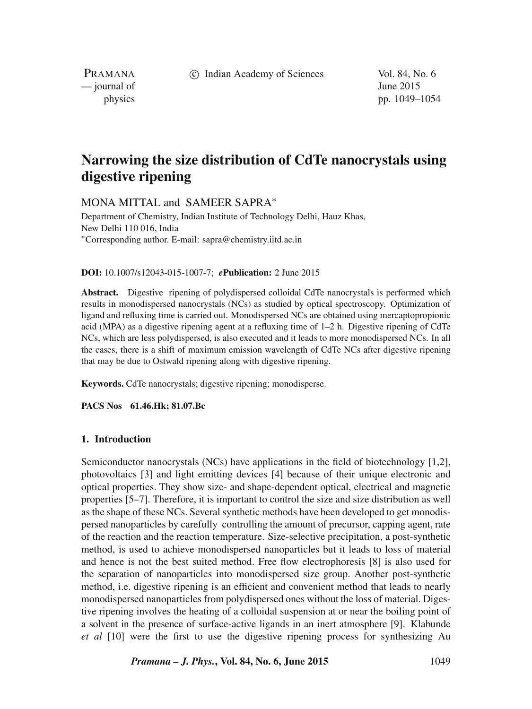c Indian Academy of Sciences Vol. 84, No. 6

PRAMANA  $\frac{1}{2}$  journal of June 2015

physics pp. 1049–1054

# **Narrowing the size distribution of CdTe nanocrystals using digestive ripening**

MONA MITTAL and SAMEER SAPRA<sup>\*</sup>

Department of Chemistry, Indian Institute of Technology Delhi, Hauz Khas, New Delhi 110 016, India ∗Corresponding author. E-mail: sapra@chemistry.iitd.ac.in

#### **DOI:** 10.1007/s12043-015-1007-7; *e***Publication:** 2 June 2015

**Abstract.** Digestive ripening of polydispersed colloidal CdTe nanocrystals is performed which results in monodispersed nanocrystals (NCs) as studied by optical spectroscopy. Optimization of ligand and refluxing time is carried out. Monodispersed NCs are obtained using mercaptopropionic acid (MPA) as a digestive ripening agent at a refluxing time of 1–2 h. Digestive ripening of CdTe NCs, which are less polydispersed, is also executed and it leads to more monodispersed NCs. In all the cases, there is a shift of maximum emission wavelength of CdTe NCs after digestive ripening that may be due to Ostwald ripening along with digestive ripening.

**Keywords.** CdTe nanocrystals; digestive ripening; monodisperse.

**PACS Nos 61.46.Hk; 81.07.Bc**

#### **1. Introduction**

Semiconductor nanocrystals (NCs) have applications in the field of biotechnology [1,2], photovoltaics [3] and light emitting devices [4] because of their unique electronic and optical properties. They show size- and shape-dependent optical, electrical and magnetic properties [5–7]. Therefore, it is important to control the size and size distribution as well as the shape of these NCs. Several synthetic methods have been developed to get monodispersed nanoparticles by carefully controlling the amount of precursor, capping agent, rate of the reaction and the reaction temperature. Size-selective precipitation, a post-synthetic method, is used to achieve monodispersed nanoparticles but it leads to loss of material and hence is not the best suited method. Free flow electrophoresis [8] is also used for the separation of nanoparticles into monodispersed size group. Another post-synthetic method, i.e. digestive ripening is an efficient and convenient method that leads to nearly monodispersed nanoparticles from polydispersed ones without the loss of material. Digestive ripening involves the heating of a colloidal suspension at or near the boiling point of a solvent in the presence of surface-active ligands in an inert atmosphere [9]. Klabunde *et al* [10] were the first to use the digestive ripening process for synthesizing Au

*Pramana – J. Phys.***, Vol. 84, No. 6, June 2015** 1049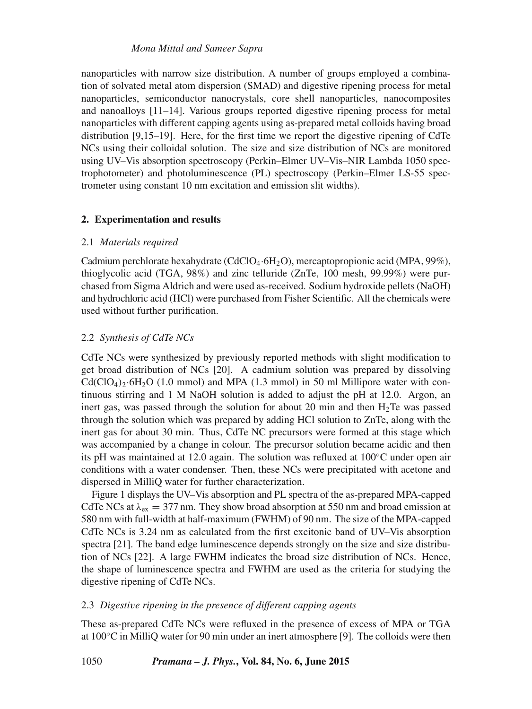### *Mona Mittal and Sameer Sapra*

nanoparticles with narrow size distribution. A number of groups employed a combination of solvated metal atom dispersion (SMAD) and digestive ripening process for metal nanoparticles, semiconductor nanocrystals, core shell nanoparticles, nanocomposites and nanoalloys [11–14]. Various groups reported digestive ripening process for metal nanoparticles with different capping agents using as-prepared metal colloids having broad distribution [9,15–19]. Here, for the first time we report the digestive ripening of CdTe NCs using their colloidal solution. The size and size distribution of NCs are monitored using UV–Vis absorption spectroscopy (Perkin–Elmer UV–Vis–NIR Lambda 1050 spectrophotometer) and photoluminescence (PL) spectroscopy (Perkin–Elmer LS-55 spectrometer using constant 10 nm excitation and emission slit widths).

## **2. Experimentation and results**

## 2.1 *Materials required*

Cadmium perchlorate hexahydrate (CdClO4·6H2O), mercaptopropionic acid (MPA, 99%), thioglycolic acid (TGA, 98%) and zinc telluride (ZnTe, 100 mesh, 99.99%) were purchased from Sigma Aldrich and were used as-received. Sodium hydroxide pellets (NaOH) and hydrochloric acid (HCl) were purchased from Fisher Scientific. All the chemicals were used without further purification.

## 2.2 *Synthesis of CdTe NCs*

CdTe NCs were synthesized by previously reported methods with slight modification to get broad distribution of NCs [20]. A cadmium solution was prepared by dissolving  $Cd(CIO<sub>4</sub>)<sub>2</sub>·6H<sub>2</sub>O$  (1.0 mmol) and MPA (1.3 mmol) in 50 ml Millipore water with continuous stirring and 1 M NaOH solution is added to adjust the pH at 12.0. Argon, an inert gas, was passed through the solution for about 20 min and then  $H_2$ Te was passed through the solution which was prepared by adding HCl solution to ZnTe, along with the inert gas for about 30 min. Thus, CdTe NC precursors were formed at this stage which was accompanied by a change in colour. The precursor solution became acidic and then its pH was maintained at 12.0 again. The solution was refluxed at 100◦C under open air conditions with a water condenser. Then, these NCs were precipitated with acetone and dispersed in MilliQ water for further characterization.

Figure 1 displays the UV–Vis absorption and PL spectra of the as-prepared MPA-capped CdTe NCs at  $\lambda_{\text{ex}} = 377$  nm. They show broad absorption at 550 nm and broad emission at 580 nm with full-width at half-maximum (FWHM) of 90 nm. The size of the MPA-capped CdTe NCs is 3.24 nm as calculated from the first excitonic band of UV–Vis absorption spectra [21]. The band edge luminescence depends strongly on the size and size distribution of NCs [22]. A large FWHM indicates the broad size distribution of NCs. Hence, the shape of luminescence spectra and FWHM are used as the criteria for studying the digestive ripening of CdTe NCs.

## 2.3 *Digesti*v*e ripening in the presence of different capping agents*

These as-prepared CdTe NCs were refluxed in the presence of excess of MPA or TGA at 100◦C in MilliQ water for 90 min under an inert atmosphere [9]. The colloids were then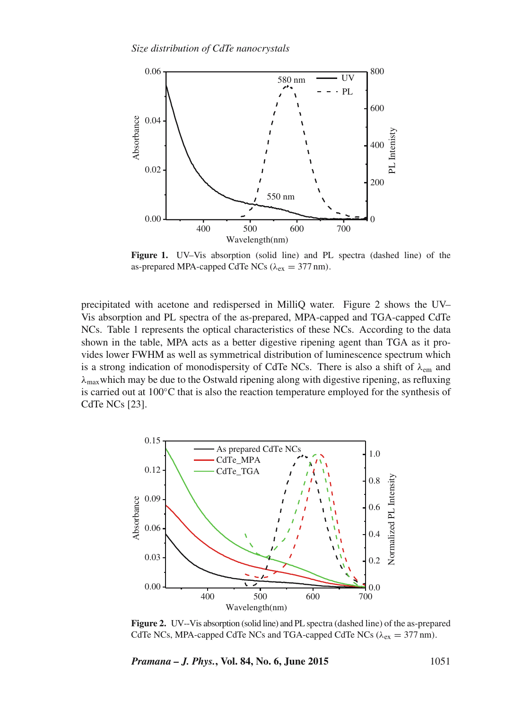

**Figure 1.** UV–Vis absorption (solid line) and PL spectra (dashed line) of the as-prepared MPA-capped CdTe NCs ( $\lambda_{ex} = 377$  nm).

precipitated with acetone and redispersed in MilliQ water. Figure 2 shows the UV– Vis absorption and PL spectra of the as-prepared, MPA-capped and TGA-capped CdTe NCs. Table 1 represents the optical characteristics of these NCs. According to the data shown in the table, MPA acts as a better digestive ripening agent than TGA as it provides lower FWHM as well as symmetrical distribution of luminescence spectrum which is a strong indication of monodispersity of CdTe NCs. There is also a shift of  $\lambda_{em}$  and  $\lambda_{\text{max}}$  which may be due to the Ostwald ripening along with digestive ripening, as refluxing is carried out at 100◦C that is also the reaction temperature employed for the synthesis of CdTe NCs [23].



**Figure 2.** UV--Vis absorption (solid line) and PL spectra (dashed line) of the as-prepared CdTe NCs, MPA-capped CdTe NCs and TGA-capped CdTe NCs ( $\lambda_{ex} = 377$  nm).

*Pramana – J. Phys.***, Vol. 84, No. 6, June 2015** 1051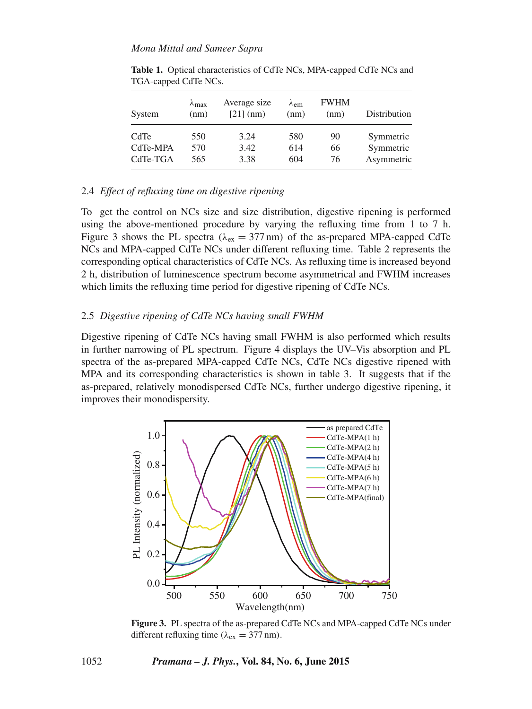#### *Mona Mittal and Sameer Sapra*

| System   | $\lambda_{\text{max}}$<br>(nm) | Average size<br>$[21]$ (nm) | $\lambda$ <sub>em</sub><br>(nm) | <b>FWHM</b><br>(nm) | Distribution |
|----------|--------------------------------|-----------------------------|---------------------------------|---------------------|--------------|
| CdTe     | 550                            | 3.24                        | 580                             | 90                  | Symmetric    |
| CdTe-MPA | 570                            | 3.42                        | 614                             | 66                  | Symmetric    |
| CdTe-TGA | 565                            | 3.38                        | 604                             | 76                  | Asymmetric   |

**Table 1.** Optical characteristics of CdTe NCs, MPA-capped CdTe NCs and TGA-capped CdTe NCs.

## 2.4 *Effect of refluxing time on digestive ripening*

To get the control on NCs size and size distribution, digestive ripening is performed using the above-mentioned procedure by varying the refluxing time from 1 to 7 h. Figure 3 shows the PL spectra ( $\lambda_{ex} = 377$  nm) of the as-prepared MPA-capped CdTe NCs and MPA-capped CdTe NCs under different refluxing time. Table 2 represents the corresponding optical characteristics of CdTe NCs. As refluxing time is increased beyond 2 h, distribution of luminescence spectrum become asymmetrical and FWHM increases which limits the refluxing time period for digestive ripening of CdTe NCs.

#### 2.5 *Digesti*v*e ripening of CdTe NCs ha*v*ing small FWHM*

Digestive ripening of CdTe NCs having small FWHM is also performed which results in further narrowing of PL spectrum. Figure 4 displays the UV–Vis absorption and PL spectra of the as-prepared MPA-capped CdTe NCs, CdTe NCs digestive ripened with MPA and its corresponding characteristics is shown in table 3. It suggests that if the as-prepared, relatively monodispersed CdTe NCs, further undergo digestive ripening, it improves their monodispersity.



**Figure 3.** PL spectra of the as-prepared CdTe NCs and MPA-capped CdTe NCs under different refluxing time ( $\lambda_{ex} = 377$  nm).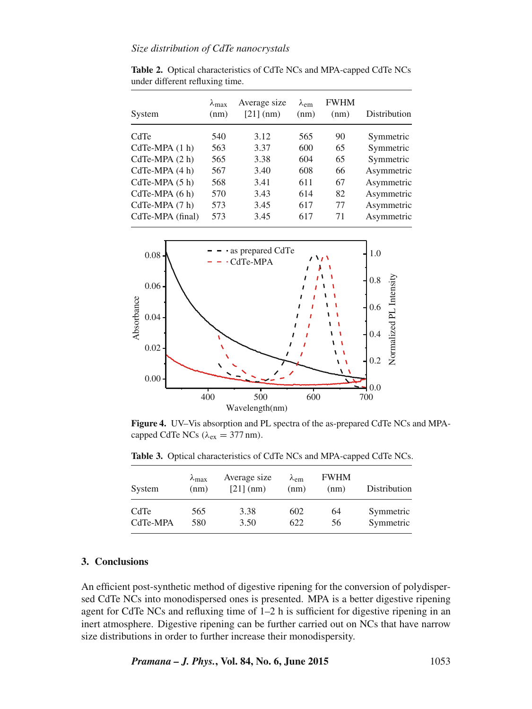## *Size distribution of CdTe nanocrystals*

**Table 2.** Optical characteristics of CdTe NCs and MPA-capped CdTe NCs under different refluxing time.

| System           | $\lambda_{\text{max}}$<br>(nm) | Average size<br>$[21]$ (nm) | $\lambda_{\rm em}$<br>(nm) | <b>FWHM</b><br>(nm) | Distribution |
|------------------|--------------------------------|-----------------------------|----------------------------|---------------------|--------------|
| CdTe             | 540                            | 3.12                        | 565                        | 90                  | Symmetric    |
| $CdTe-MPA(1 h)$  | 563                            | 3.37                        | 600                        | 65                  | Symmetric    |
| $CdTe-MPA(2 h)$  | 565                            | 3.38                        | 604                        | 65                  | Symmetric    |
| $CdTe-MPA(4 h)$  | 567                            | 3.40                        | 608                        | 66                  | Asymmetric   |
| $CdTe-MPA(5 h)$  | 568                            | 3.41                        | 611                        | 67                  | Asymmetric   |
| $CdTe-MPA(6 h)$  | 570                            | 3.43                        | 614                        | 82                  | Asymmetric   |
| CdTe-MPA (7 h)   | 573                            | 3.45                        | 617                        | 77                  | Asymmetric   |
| CdTe-MPA (final) | 573                            | 3.45                        | 617                        | 71                  | Asymmetric   |



**Figure 4.** UV–Vis absorption and PL spectra of the as-prepared CdTe NCs and MPAcapped CdTe NCs ( $\lambda_{ex} = 377$  nm).

**Table 3.** Optical characteristics of CdTe NCs and MPA-capped CdTe NCs.

| System   | $\lambda_{\text{max}}$<br>(nm) | Average size<br>$[21]$ (nm) | $\lambda$ <sub>em</sub><br>(nm) | <b>FWHM</b><br>(nm) | Distribution |
|----------|--------------------------------|-----------------------------|---------------------------------|---------------------|--------------|
| CdTe     | 565                            | 3.38                        | 602                             | 64                  | Symmetric    |
| CdTe-MPA | 580                            | 3.50                        | 622                             | 56                  | Symmetric    |

#### **3. Conclusions**

An efficient post-synthetic method of digestive ripening for the conversion of polydispersed CdTe NCs into monodispersed ones is presented. MPA is a better digestive ripening agent for CdTe NCs and refluxing time of 1–2 h is sufficient for digestive ripening in an inert atmosphere. Digestive ripening can be further carried out on NCs that have narrow size distributions in order to further increase their monodispersity.

*Pramana – J. Phys.***, Vol. 84, No. 6, June 2015** 1053